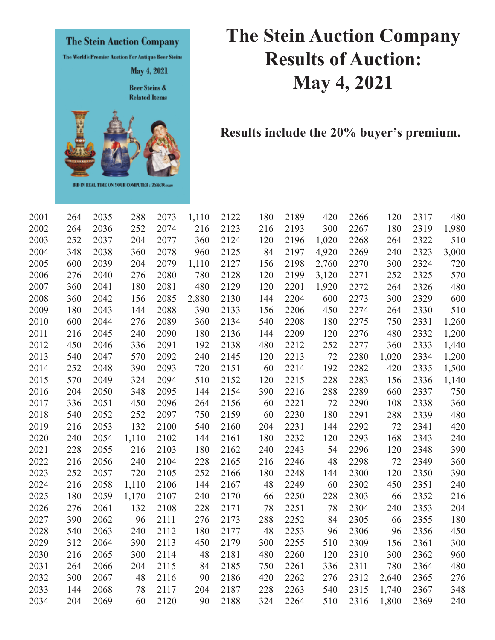

## **The Stein Auction Company Results of Auction: May 4, 2021**

**Results include the 20% buyer's premium.** 

| 2001 | 264 | 2035 | 288   | 2073 | 1,110 | 2122 | 180 | 2189 | 420   | 2266 | 120   | 2317 | 480   |
|------|-----|------|-------|------|-------|------|-----|------|-------|------|-------|------|-------|
| 2002 | 264 | 2036 | 252   | 2074 | 216   | 2123 | 216 | 2193 | 300   | 2267 | 180   | 2319 | 1,980 |
| 2003 | 252 | 2037 | 204   | 2077 | 360   | 2124 | 120 | 2196 | 1,020 | 2268 | 264   | 2322 | 510   |
| 2004 | 348 | 2038 | 360   | 2078 | 960   | 2125 | 84  | 2197 | 4,920 | 2269 | 240   | 2323 | 3,000 |
| 2005 | 600 | 2039 | 204   | 2079 | 1,110 | 2127 | 156 | 2198 | 2,760 | 2270 | 300   | 2324 | 720   |
| 2006 | 276 | 2040 | 276   | 2080 | 780   | 2128 | 120 | 2199 | 3,120 | 2271 | 252   | 2325 | 570   |
| 2007 | 360 | 2041 | 180   | 2081 | 480   | 2129 | 120 | 2201 | 1,920 | 2272 | 264   | 2326 | 480   |
| 2008 | 360 | 2042 | 156   | 2085 | 2,880 | 2130 | 144 | 2204 | 600   | 2273 | 300   | 2329 | 600   |
| 2009 | 180 | 2043 | 144   | 2088 | 390   | 2133 | 156 | 2206 | 450   | 2274 | 264   | 2330 | 510   |
| 2010 | 600 | 2044 | 276   | 2089 | 360   | 2134 | 540 | 2208 | 180   | 2275 | 750   | 2331 | 1,260 |
| 2011 | 216 | 2045 | 240   | 2090 | 180   | 2136 | 144 | 2209 | 120   | 2276 | 480   | 2332 | 1,200 |
| 2012 | 450 | 2046 | 336   | 2091 | 192   | 2138 | 480 | 2212 | 252   | 2277 | 360   | 2333 | 1,440 |
| 2013 | 540 | 2047 | 570   | 2092 | 240   | 2145 | 120 | 2213 | 72    | 2280 | 1,020 | 2334 | 1,200 |
| 2014 | 252 | 2048 | 390   | 2093 | 720   | 2151 | 60  | 2214 | 192   | 2282 | 420   | 2335 | 1,500 |
| 2015 | 570 | 2049 | 324   | 2094 | 510   | 2152 | 120 | 2215 | 228   | 2283 | 156   | 2336 | 1,140 |
| 2016 | 204 | 2050 | 348   | 2095 | 144   | 2154 | 390 | 2216 | 288   | 2289 | 660   | 2337 | 750   |
| 2017 | 336 | 2051 | 450   | 2096 | 264   | 2156 | 60  | 2221 | 72    | 2290 | 108   | 2338 | 360   |
| 2018 | 540 | 2052 | 252   | 2097 | 750   | 2159 | 60  | 2230 | 180   | 2291 | 288   | 2339 | 480   |
| 2019 | 216 | 2053 | 132   | 2100 | 540   | 2160 | 204 | 2231 | 144   | 2292 | 72    | 2341 | 420   |
| 2020 | 240 | 2054 | 1,110 | 2102 | 144   | 2161 | 180 | 2232 | 120   | 2293 | 168   | 2343 | 240   |
| 2021 | 228 | 2055 | 216   | 2103 | 180   | 2162 | 240 | 2243 | 54    | 2296 | 120   | 2348 | 390   |
| 2022 | 216 | 2056 | 240   | 2104 | 228   | 2165 | 216 | 2246 | 48    | 2298 | 72    | 2349 | 360   |
| 2023 | 252 | 2057 | 720   | 2105 | 252   | 2166 | 180 | 2248 | 144   | 2300 | 120   | 2350 | 390   |
| 2024 | 216 | 2058 | 1,110 | 2106 | 144   | 2167 | 48  | 2249 | 60    | 2302 | 450   | 2351 | 240   |
| 2025 | 180 | 2059 | 1,170 | 2107 | 240   | 2170 | 66  | 2250 | 228   | 2303 | 66    | 2352 | 216   |
| 2026 | 276 | 2061 | 132   | 2108 | 228   | 2171 | 78  | 2251 | 78    | 2304 | 240   | 2353 | 204   |
| 2027 | 390 | 2062 | 96    | 2111 | 276   | 2173 | 288 | 2252 | 84    | 2305 | 66    | 2355 | 180   |
| 2028 | 540 | 2063 | 240   | 2112 | 180   | 2177 | 48  | 2253 | 96    | 2306 | 96    | 2356 | 450   |
| 2029 | 312 | 2064 | 390   | 2113 | 450   | 2179 | 300 | 2255 | 510   | 2309 | 156   | 2361 | 300   |
| 2030 | 216 | 2065 | 300   | 2114 | 48    | 2181 | 480 | 2260 | 120   | 2310 | 300   | 2362 | 960   |
| 2031 | 264 | 2066 | 204   | 2115 | 84    | 2185 | 750 | 2261 | 336   | 2311 | 780   | 2364 | 480   |
| 2032 | 300 | 2067 | 48    | 2116 | 90    | 2186 | 420 | 2262 | 276   | 2312 | 2,640 | 2365 | 276   |
| 2033 | 144 | 2068 | 78    | 2117 | 204   | 2187 | 228 | 2263 | 540   | 2315 | 1,740 | 2367 | 348   |
| 2034 | 204 | 2069 | 60    | 2120 | 90    | 2188 | 324 | 2264 | 510   | 2316 | 1,800 | 2369 | 240   |